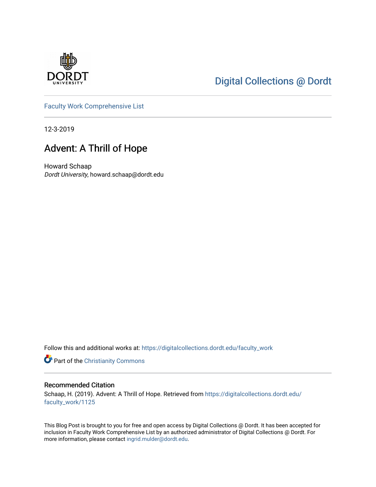

## [Digital Collections @ Dordt](https://digitalcollections.dordt.edu/)

[Faculty Work Comprehensive List](https://digitalcollections.dordt.edu/faculty_work)

12-3-2019

## Advent: A Thrill of Hope

Howard Schaap Dordt University, howard.schaap@dordt.edu

Follow this and additional works at: [https://digitalcollections.dordt.edu/faculty\\_work](https://digitalcollections.dordt.edu/faculty_work?utm_source=digitalcollections.dordt.edu%2Ffaculty_work%2F1125&utm_medium=PDF&utm_campaign=PDFCoverPages) 

Part of the [Christianity Commons](http://network.bepress.com/hgg/discipline/1181?utm_source=digitalcollections.dordt.edu%2Ffaculty_work%2F1125&utm_medium=PDF&utm_campaign=PDFCoverPages) 

#### Recommended Citation

Schaap, H. (2019). Advent: A Thrill of Hope. Retrieved from [https://digitalcollections.dordt.edu/](https://digitalcollections.dordt.edu/faculty_work/1125?utm_source=digitalcollections.dordt.edu%2Ffaculty_work%2F1125&utm_medium=PDF&utm_campaign=PDFCoverPages) [faculty\\_work/1125](https://digitalcollections.dordt.edu/faculty_work/1125?utm_source=digitalcollections.dordt.edu%2Ffaculty_work%2F1125&utm_medium=PDF&utm_campaign=PDFCoverPages) 

This Blog Post is brought to you for free and open access by Digital Collections @ Dordt. It has been accepted for inclusion in Faculty Work Comprehensive List by an authorized administrator of Digital Collections @ Dordt. For more information, please contact [ingrid.mulder@dordt.edu.](mailto:ingrid.mulder@dordt.edu)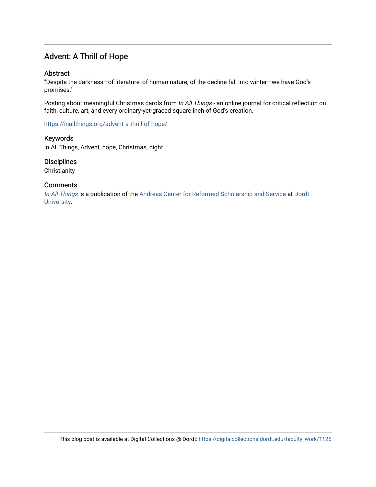### Advent: A Thrill of Hope

#### **Abstract**

"Despite the darkness—of literature, of human nature, of the decline fall into winter—we have God's promises."

Posting about meaningful Christmas carols from In All Things - an online journal for critical reflection on faith, culture, art, and every ordinary-yet-graced square inch of God's creation.

<https://inallthings.org/advent-a-thrill-of-hope/>

Keywords In All Things, Advent, hope, Christmas, night

**Disciplines** 

**Christianity** 

#### **Comments**

[In All Things](http://inallthings.org/) is a publication of the [Andreas Center for Reformed Scholarship and Service](http://www.dordt.edu/services_support/andreas_center/) at Dordt [University](http://www.dordt.edu/).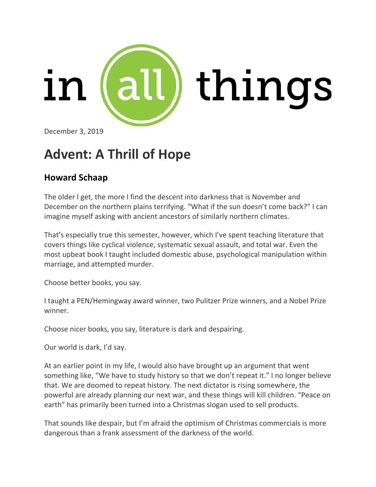

December 3, 2019

# **Advent: A Thrill of Hope**

## **Howard Schaap**

The older I get, the more I find the descent into darkness that is November and December on the northern plains terrifying. "What if the sun doesn't come back?" I can imagine myself asking with ancient ancestors of similarly northern climates.

That's especially true this semester, however, which I've spent teaching literature that covers things like cyclical violence, systematic sexual assault, and total war. Even the most upbeat book I taught included domestic abuse, psychological manipulation within marriage, and attempted murder.

Choose better books, you say.

I taught a PEN/Hemingway award winner, two Pulitzer Prize winners, and a Nobel Prize winner.

Choose nicer books, you say, literature is dark and despairing.

Our world is dark, I'd say.

At an earlier point in my life, I would also have brought up an argument that went something like, "We have to study history so that we don't repeat it." I no longer believe that. We are doomed to repeat history. The next dictator is rising somewhere, the powerful are already planning our next war, and these things will kill children. "Peace on earth" has primarily been turned into a Christmas slogan used to sell products.

That sounds like despair, but I'm afraid the optimism of Christmas commercials is more dangerous than a frank assessment of the darkness of the world.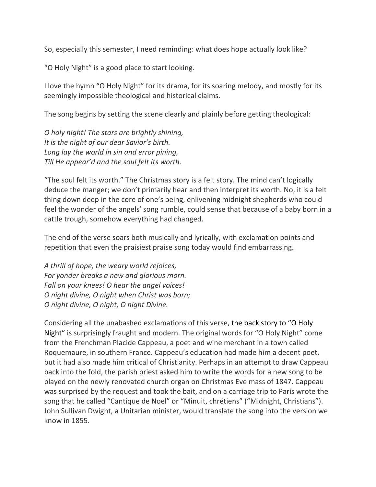So, especially this semester, I need reminding: what does hope actually look like?

"O Holy Night" is a good place to start looking.

I love the hymn "O Holy Night" for its drama, for its soaring melody, and mostly for its seemingly impossible theological and historical claims.

The song begins by setting the scene clearly and plainly before getting theological:

*O holy night! The stars are brightly shining, It is the night of our dear Savior's birth. Long lay the world in sin and error pining, Till He appear'd and the soul felt its worth.*

"The soul felt its worth." The Christmas story is a felt story. The mind can't logically deduce the manger; we don't primarily hear and then interpret its worth. No, it is a felt thing down deep in the core of one's being, enlivening midnight shepherds who could feel the wonder of the angels' song rumble, could sense that because of a baby born in a cattle trough, somehow everything had changed.

The end of the verse soars both musically and lyrically, with exclamation points and repetition that even the praisiest praise song today would find embarrassing.

*A thrill of hope, the weary world rejoices, For yonder breaks a new and glorious morn. Fall on your knees! O hear the angel voices! O night divine, O night when Christ was born; O night divine, O night, O night Divine.*

Considering all the unabashed exclamations of this verse, the back story to "O Holy Night" is surprisingly fraught and modern. The original words for "O Holy Night" come from the Frenchman Placide Cappeau, a poet and wine merchant in a town called Roquemaure, in southern France. Cappeau's education had made him a decent poet, but it had also made him critical of Christianity. Perhaps in an attempt to draw Cappeau back into the fold, the parish priest asked him to write the words for a new song to be played on the newly renovated church organ on Christmas Eve mass of 1847. Cappeau was surprised by the request and took the bait, and on a carriage trip to Paris wrote the song that he called "Cantique de Noel" or "Minuit, chrétiens" ("Midnight, Christians"). John Sullivan Dwight, a Unitarian minister, would translate the song into the version we know in 1855.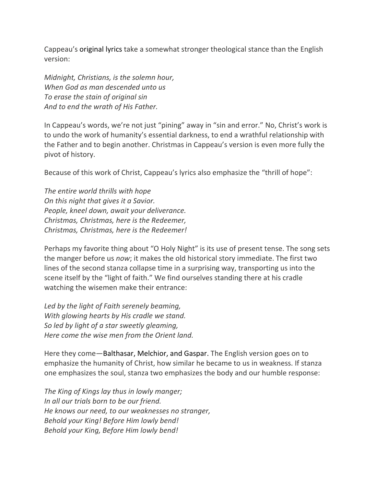Cappeau's original lyrics take a somewhat stronger theological stance than the English version:

*Midnight, Christians, is the solemn hour, When God as man descended unto us To erase the stain of original sin And to end the wrath of His Father.*

In Cappeau's words, we're not just "pining" away in "sin and error." No, Christ's work is to undo the work of humanity's essential darkness, to end a wrathful relationship with the Father and to begin another. Christmas in Cappeau's version is even more fully the pivot of history.

Because of this work of Christ, Cappeau's lyrics also emphasize the "thrill of hope":

*The entire world thrills with hope On this night that gives it a Savior. People, kneel down, await your deliverance. Christmas, Christmas, here is the Redeemer, Christmas, Christmas, here is the Redeemer!*

Perhaps my favorite thing about "O Holy Night" is its use of present tense. The song sets the manger before us *now*; it makes the old historical story immediate. The first two lines of the second stanza collapse time in a surprising way, transporting us into the scene itself by the "light of faith." We find ourselves standing there at his cradle watching the wisemen make their entrance:

*Led by the light of Faith serenely beaming, With glowing hearts by His cradle we stand. So led by light of a star sweetly gleaming, Here come the wise men from the Orient land.*

Here they come—Balthasar, Melchior, and Gaspar. The English version goes on to emphasize the humanity of Christ, how similar he became to us in weakness. If stanza one emphasizes the soul, stanza two emphasizes the body and our humble response:

*The King of Kings lay thus in lowly manger; In all our trials born to be our friend. He knows our need, to our weaknesses no stranger, Behold your King! Before Him lowly bend! Behold your King, Before Him lowly bend!*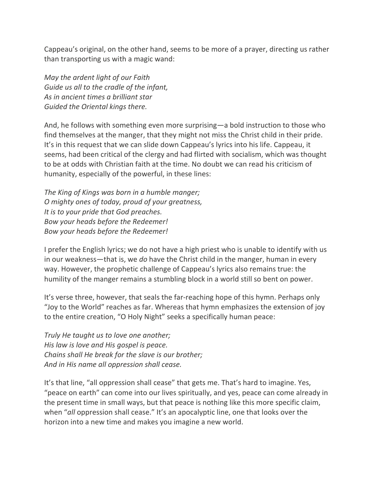Cappeau's original, on the other hand, seems to be more of a prayer, directing us rather than transporting us with a magic wand:

*May the ardent light of our Faith Guide us all to the cradle of the infant, As in ancient times a brilliant star Guided the Oriental kings there.*

And, he follows with something even more surprising—a bold instruction to those who find themselves at the manger, that they might not miss the Christ child in their pride. It's in this request that we can slide down Cappeau's lyrics into his life. Cappeau, it seems, had been critical of the clergy and had flirted with socialism, which was thought to be at odds with Christian faith at the time. No doubt we can read his criticism of humanity, especially of the powerful, in these lines:

*The King of Kings was born in a humble manger; O mighty ones of today, proud of your greatness, It is to your pride that God preaches. Bow your heads before the Redeemer! Bow your heads before the Redeemer!*

I prefer the English lyrics; we do not have a high priest who is unable to identify with us in our weakness—that is, we *do* have the Christ child in the manger, human in every way. However, the prophetic challenge of Cappeau's lyrics also remains true: the humility of the manger remains a stumbling block in a world still so bent on power.

It's verse three, however, that seals the far-reaching hope of this hymn. Perhaps only "Joy to the World" reaches as far. Whereas that hymn emphasizes the extension of joy to the entire creation, "O Holy Night" seeks a specifically human peace:

*Truly He taught us to love one another; His law is love and His gospel is peace. Chains shall He break for the slave is our brother; And in His name all oppression shall cease.*

It's that line, "all oppression shall cease" that gets me. That's hard to imagine. Yes, "peace on earth" can come into our lives spiritually, and yes, peace can come already in the present time in small ways, but that peace is nothing like this more specific claim, when "*all* oppression shall cease." It's an apocalyptic line, one that looks over the horizon into a new time and makes you imagine a new world.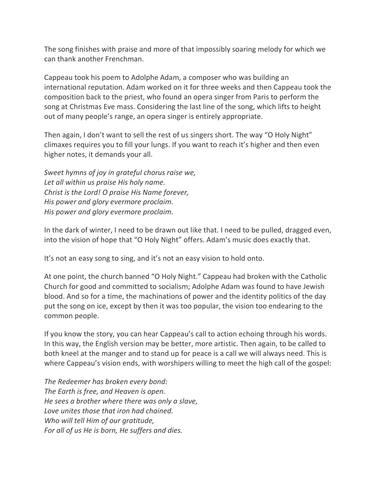The song finishes with praise and more of that impossibly soaring melody for which we can thank another Frenchman.

Cappeau took his poem to Adolphe Adam, a composer who was building an international reputation. Adam worked on it for three weeks and then Cappeau took the composition back to the priest, who found an opera singer from Paris to perform the song at Christmas Eve mass. Considering the last line of the song, which lifts to height out of many people's range, an opera singer is entirely appropriate.

Then again, I don't want to sell the rest of us singers short. The way "O Holy Night" climaxes requires you to fill your lungs. If you want to reach it's higher and then even higher notes, it demands your all.

*Sweet hymns of joy in grateful chorus raise we, Let all within us praise His holy name. Christ is the Lord! O praise His Name forever, His power and glory evermore proclaim. His power and glory evermore proclaim.*

In the dark of winter, I need to be drawn out like that. I need to be pulled, dragged even, into the vision of hope that "O Holy Night" offers. Adam's music does exactly that.

It's not an easy song to sing, and it's not an easy vision to hold onto.

At one point, the church banned "O Holy Night." Cappeau had broken with the Catholic Church for good and committed to socialism; Adolphe Adam was found to have Jewish blood. And so for a time, the machinations of power and the identity politics of the day put the song on ice, except by then it was too popular, the vision too endearing to the common people.

If you know the story, you can hear Cappeau's call to action echoing through his words. In this way, the English version may be better, more artistic. Then again, to be called to both kneel at the manger and to stand up for peace is a call we will always need. This is where Cappeau's vision ends, with worshipers willing to meet the high call of the gospel:

*The Redeemer has broken every bond: The Earth is free, and Heaven is open. He sees a brother where there was only a slave, Love unites those that iron had chained. Who will tell Him of our gratitude, For all of us He is born, He suffers and dies.*